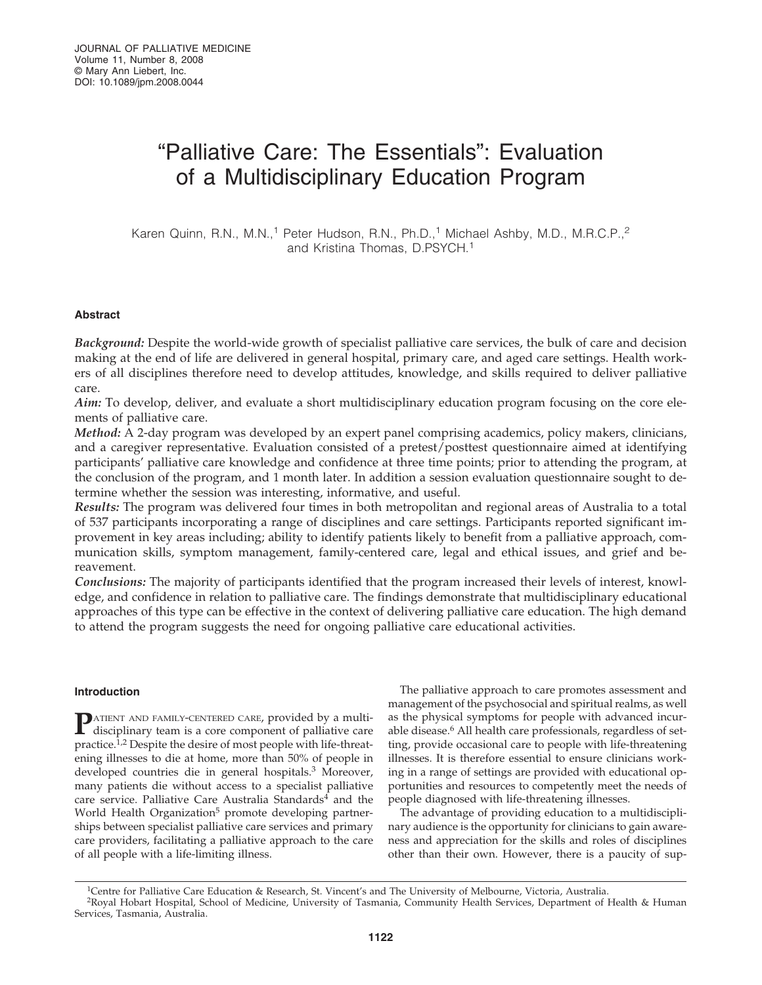# "Palliative Care: The Essentials": Evaluation of a Multidisciplinary Education Program

Karen Quinn, R.N., M.N.,<sup>1</sup> Peter Hudson, R.N., Ph.D.,<sup>1</sup> Michael Ashby, M.D., M.R.C.P.,<sup>2</sup> and Kristina Thomas, D.PSYCH.1

# **Abstract**

*Background:* Despite the world-wide growth of specialist palliative care services, the bulk of care and decision making at the end of life are delivered in general hospital, primary care, and aged care settings. Health workers of all disciplines therefore need to develop attitudes, knowledge, and skills required to deliver palliative care.

*Aim:* To develop, deliver, and evaluate a short multidisciplinary education program focusing on the core elements of palliative care.

*Method:* A 2-day program was developed by an expert panel comprising academics, policy makers, clinicians, and a caregiver representative. Evaluation consisted of a pretest/posttest questionnaire aimed at identifying participants' palliative care knowledge and confidence at three time points; prior to attending the program, at the conclusion of the program, and 1 month later. In addition a session evaluation questionnaire sought to determine whether the session was interesting, informative, and useful.

*Results:* The program was delivered four times in both metropolitan and regional areas of Australia to a total of 537 participants incorporating a range of disciplines and care settings. Participants reported significant improvement in key areas including; ability to identify patients likely to benefit from a palliative approach, communication skills, symptom management, family-centered care, legal and ethical issues, and grief and bereavement.

*Conclusions:* The majority of participants identified that the program increased their levels of interest, knowledge, and confidence in relation to palliative care. The findings demonstrate that multidisciplinary educational approaches of this type can be effective in the context of delivering palliative care education. The high demand to attend the program suggests the need for ongoing palliative care educational activities.

# **Introduction**

**P**ATIENT AND FAMILY-CENTERED CARE, provided by a multi-<br>disciplinary team is a core component of palliative care practice.1,2 Despite the desire of most people with life-threatening illnesses to die at home, more than 50% of people in developed countries die in general hospitals.<sup>3</sup> Moreover, many patients die without access to a specialist palliative care service. Palliative Care Australia Standards<sup>4</sup> and the World Health Organization<sup>5</sup> promote developing partnerships between specialist palliative care services and primary care providers, facilitating a palliative approach to the care of all people with a life-limiting illness.

The palliative approach to care promotes assessment and management of the psychosocial and spiritual realms, as well as the physical symptoms for people with advanced incurable disease.<sup>6</sup> All health care professionals, regardless of setting, provide occasional care to people with life-threatening illnesses. It is therefore essential to ensure clinicians working in a range of settings are provided with educational opportunities and resources to competently meet the needs of people diagnosed with life-threatening illnesses.

The advantage of providing education to a multidisciplinary audience is the opportunity for clinicians to gain awareness and appreciation for the skills and roles of disciplines other than their own. However, there is a paucity of sup-

<sup>&</sup>lt;sup>1</sup>Centre for Palliative Care Education & Research, St. Vincent's and The University of Melbourne, Victoria, Australia.

<sup>2</sup>Royal Hobart Hospital, School of Medicine, University of Tasmania, Community Health Services, Department of Health & Human Services, Tasmania, Australia.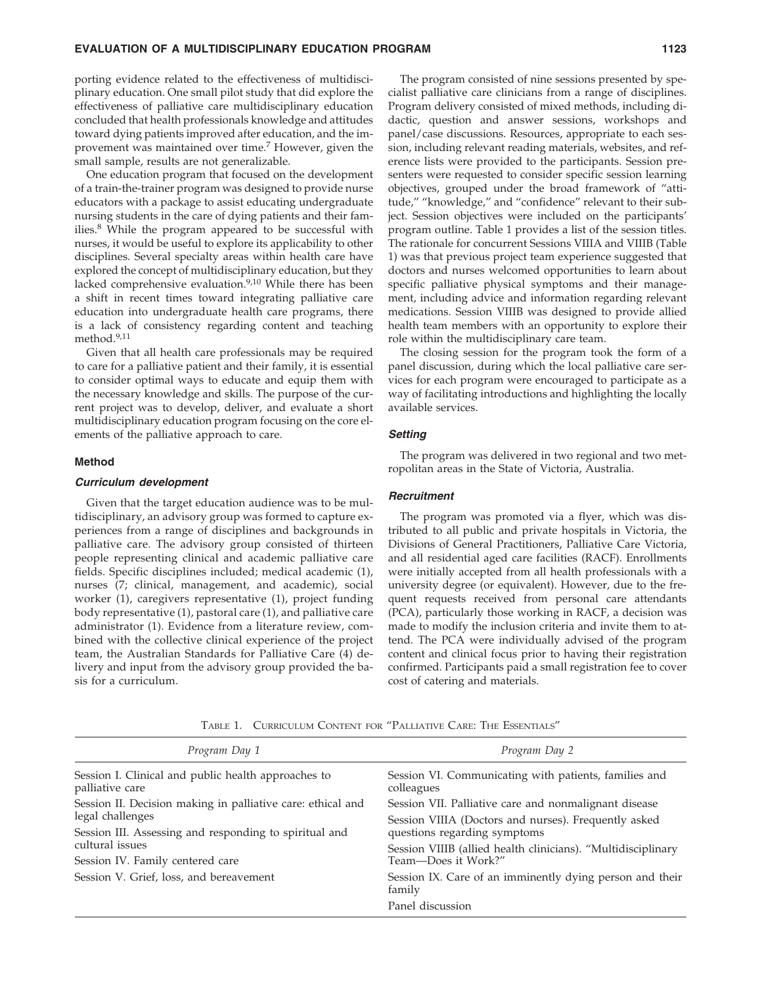### **EVALUATION OF A MULTIDISCIPLINARY EDUCATION PROGRAM 1123**

porting evidence related to the effectiveness of multidisciplinary education. One small pilot study that did explore the effectiveness of palliative care multidisciplinary education concluded that health professionals knowledge and attitudes toward dying patients improved after education, and the improvement was maintained over time.7 However, given the small sample, results are not generalizable.

One education program that focused on the development of a train-the-trainer program was designed to provide nurse educators with a package to assist educating undergraduate nursing students in the care of dying patients and their families.8 While the program appeared to be successful with nurses, it would be useful to explore its applicability to other disciplines. Several specialty areas within health care have explored the concept of multidisciplinary education, but they lacked comprehensive evaluation.<sup>9,10</sup> While there has been a shift in recent times toward integrating palliative care education into undergraduate health care programs, there is a lack of consistency regarding content and teaching method.9,11

Given that all health care professionals may be required to care for a palliative patient and their family, it is essential to consider optimal ways to educate and equip them with the necessary knowledge and skills. The purpose of the current project was to develop, deliver, and evaluate a short multidisciplinary education program focusing on the core elements of the palliative approach to care.

#### **Method**

#### *Curriculum development*

Given that the target education audience was to be multidisciplinary, an advisory group was formed to capture experiences from a range of disciplines and backgrounds in palliative care. The advisory group consisted of thirteen people representing clinical and academic palliative care fields. Specific disciplines included; medical academic (1), nurses (7; clinical, management, and academic), social worker (1), caregivers representative (1), project funding body representative (1), pastoral care (1), and palliative care administrator (1). Evidence from a literature review, combined with the collective clinical experience of the project team, the Australian Standards for Palliative Care (4) delivery and input from the advisory group provided the basis for a curriculum.

The program consisted of nine sessions presented by specialist palliative care clinicians from a range of disciplines. Program delivery consisted of mixed methods, including didactic, question and answer sessions, workshops and panel/case discussions. Resources, appropriate to each session, including relevant reading materials, websites, and reference lists were provided to the participants. Session presenters were requested to consider specific session learning objectives, grouped under the broad framework of "attitude," "knowledge," and "confidence" relevant to their subject. Session objectives were included on the participants' program outline. Table 1 provides a list of the session titles. The rationale for concurrent Sessions VIIIA and VIIIB (Table 1) was that previous project team experience suggested that doctors and nurses welcomed opportunities to learn about specific palliative physical symptoms and their management, including advice and information regarding relevant medications. Session VIIIB was designed to provide allied health team members with an opportunity to explore their role within the multidisciplinary care team.

The closing session for the program took the form of a panel discussion, during which the local palliative care services for each program were encouraged to participate as a way of facilitating introductions and highlighting the locally available services.

#### *Setting*

The program was delivered in two regional and two metropolitan areas in the State of Victoria, Australia.

#### *Recruitment*

The program was promoted via a flyer, which was distributed to all public and private hospitals in Victoria, the Divisions of General Practitioners, Palliative Care Victoria, and all residential aged care facilities (RACF). Enrollments were initially accepted from all health professionals with a university degree (or equivalent). However, due to the frequent requests received from personal care attendants (PCA), particularly those working in RACF, a decision was made to modify the inclusion criteria and invite them to attend. The PCA were individually advised of the program content and clinical focus prior to having their registration confirmed. Participants paid a small registration fee to cover cost of catering and materials.

*Program Day 1* Session I. Clinical and public health approaches to palliative care Session II. Decision making in palliative care: ethical and legal challenges Session III. Assessing and responding to spiritual and cultural issues Session IV. Family centered care Session V. Grief, loss, and bereavement *Program Day 2* Session VI. Communicating with patients, families and colleagues Session VII. Palliative care and nonmalignant disease Session VIIIA (Doctors and nurses). Frequently asked questions regarding symptoms Session VIIIB (allied health clinicians). "Multidisciplinary Team—Does it Work?" Session IX. Care of an imminently dying person and their family Panel discussion

TABLE 1. CURRICULUM CONTENT FOR "PALLIATIVE CARE: THE ESSENTIALS"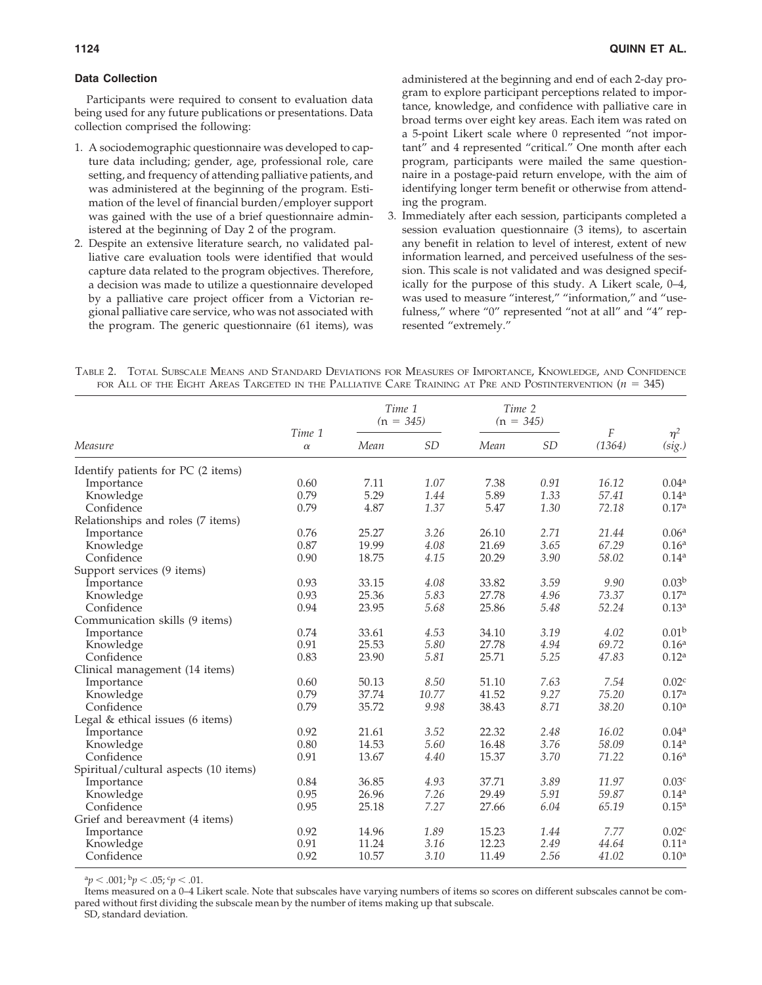# **Data Collection**

Participants were required to consent to evaluation data being used for any future publications or presentations. Data collection comprised the following:

- 1. A sociodemographic questionnaire was developed to capture data including; gender, age, professional role, care setting, and frequency of attending palliative patients, and was administered at the beginning of the program. Estimation of the level of financial burden/employer support was gained with the use of a brief questionnaire administered at the beginning of Day 2 of the program.
- 2. Despite an extensive literature search, no validated palliative care evaluation tools were identified that would capture data related to the program objectives. Therefore, a decision was made to utilize a questionnaire developed by a palliative care project officer from a Victorian regional palliative care service, who was not associated with the program. The generic questionnaire (61 items), was

administered at the beginning and end of each 2-day program to explore participant perceptions related to importance, knowledge, and confidence with palliative care in broad terms over eight key areas. Each item was rated on a 5-point Likert scale where 0 represented "not important" and 4 represented "critical." One month after each program, participants were mailed the same questionnaire in a postage-paid return envelope, with the aim of identifying longer term benefit or otherwise from attending the program.

3. Immediately after each session, participants completed a session evaluation questionnaire (3 items), to ascertain any benefit in relation to level of interest, extent of new information learned, and perceived usefulness of the session. This scale is not validated and was designed specifically for the purpose of this study. A Likert scale, 0–4, was used to measure "interest," "information," and "usefulness," where "0" represented "not at all" and "4" represented "extremely."

| TABLE 2. TOTAL SUBSCALE MEANS AND STANDARD DEVIATIONS FOR MEASURES OF IMPORTANCE, KNOWLEDGE, AND CONFIDENCE   |  |  |  |  |
|---------------------------------------------------------------------------------------------------------------|--|--|--|--|
| FOR ALL OF THE EIGHT AREAS TARGETED IN THE PALLIATIVE CARE TRAINING AT PRE AND POSTINTERVENTION ( $n = 345$ ) |  |  |  |  |

|                                       |                    |       | Time 1<br>$(n = 345)$ |       | Time 2<br>$(n = 345)$ |             |                    |
|---------------------------------------|--------------------|-------|-----------------------|-------|-----------------------|-------------|--------------------|
| Measure                               | Time 1<br>$\alpha$ | Mean  | <b>SD</b>             | Mean  | <b>SD</b>             | F<br>(1364) | $\eta^2$<br>(sig.) |
| Identify patients for PC (2 items)    |                    |       |                       |       |                       |             |                    |
| Importance                            | 0.60               | 7.11  | 1.07                  | 7.38  | 0.91                  | 16.12       | 0.04 <sup>a</sup>  |
| Knowledge                             | 0.79               | 5.29  | 1.44                  | 5.89  | 1.33                  | 57.41       | 0.14 <sup>a</sup>  |
| Confidence                            | 0.79               | 4.87  | 1.37                  | 5.47  | 1.30                  | 72.18       | 0.17 <sup>a</sup>  |
| Relationships and roles (7 items)     |                    |       |                       |       |                       |             |                    |
| Importance                            | 0.76               | 25.27 | 3.26                  | 26.10 | 2.71                  | 21.44       | 0.06 <sup>a</sup>  |
| Knowledge                             | 0.87               | 19.99 | 4.08                  | 21.69 | 3.65                  | 67.29       | 0.16 <sup>a</sup>  |
| Confidence                            | 0.90               | 18.75 | 4.15                  | 20.29 | 3.90                  | 58.02       | 0.14 <sup>a</sup>  |
| Support services (9 items)            |                    |       |                       |       |                       |             |                    |
| Importance                            | 0.93               | 33.15 | 4.08                  | 33.82 | 3.59                  | 9.90        | 0.03 <sup>b</sup>  |
| Knowledge                             | 0.93               | 25.36 | 5.83                  | 27.78 | 4.96                  | 73.37       | 0.17 <sup>a</sup>  |
| Confidence                            | 0.94               | 23.95 | 5.68                  | 25.86 | 5.48                  | 52.24       | 0.13 <sup>a</sup>  |
| Communication skills (9 items)        |                    |       |                       |       |                       |             |                    |
| Importance                            | 0.74               | 33.61 | 4.53                  | 34.10 | 3.19                  | 4.02        | 0.01 <sup>b</sup>  |
| Knowledge                             | 0.91               | 25.53 | 5.80                  | 27.78 | 4.94                  | 69.72       | 0.16 <sup>a</sup>  |
| Confidence                            | 0.83               | 23.90 | 5.81                  | 25.71 | 5.25                  | 47.83       | 0.12 <sup>a</sup>  |
| Clinical management (14 items)        |                    |       |                       |       |                       |             |                    |
| Importance                            | 0.60               | 50.13 | 8.50                  | 51.10 | 7.63                  | 7.54        | 0.02 <sup>c</sup>  |
| Knowledge                             | 0.79               | 37.74 | 10.77                 | 41.52 | 9.27                  | 75.20       | 0.17 <sup>a</sup>  |
| Confidence                            | 0.79               | 35.72 | 9.98                  | 38.43 | 8.71                  | 38.20       | 0.10 <sup>a</sup>  |
| Legal $&$ ethical issues (6 items)    |                    |       |                       |       |                       |             |                    |
| Importance                            | 0.92               | 21.61 | 3.52                  | 22.32 | 2.48                  | 16.02       | 0.04 <sup>a</sup>  |
| Knowledge                             | 0.80               | 14.53 | 5.60                  | 16.48 | 3.76                  | 58.09       | 0.14 <sup>a</sup>  |
| Confidence                            | 0.91               | 13.67 | 4.40                  | 15.37 | 3.70                  | 71.22       | 0.16 <sup>a</sup>  |
| Spiritual/cultural aspects (10 items) |                    |       |                       |       |                       |             |                    |
| Importance                            | 0.84               | 36.85 | 4.93                  | 37.71 | 3.89                  | 11.97       | 0.03 <sup>c</sup>  |
| Knowledge                             | 0.95               | 26.96 | 7.26                  | 29.49 | 5.91                  | 59.87       | 0.14 <sup>a</sup>  |
| Confidence                            | 0.95               | 25.18 | 7.27                  | 27.66 | 6.04                  | 65.19       | 0.15 <sup>a</sup>  |
| Grief and bereavment (4 items)        |                    |       |                       |       |                       |             |                    |
| Importance                            | 0.92               | 14.96 | 1.89                  | 15.23 | 1.44                  | 7.77        | 0.02 <sup>c</sup>  |
| Knowledge                             | 0.91               | 11.24 | 3.16                  | 12.23 | 2.49                  | 44.64       | 0.11 <sup>a</sup>  |
| Confidence                            | 0.92               | 10.57 | 3.10                  | 11.49 | 2.56                  | 41.02       | $0.10^{a}$         |

 $a_p < .001$ ;  $b_p < .05$ ;  $c_p < .01$ .

Items measured on a 0–4 Likert scale. Note that subscales have varying numbers of items so scores on different subscales cannot be compared without first dividing the subscale mean by the number of items making up that subscale.

SD, standard deviation.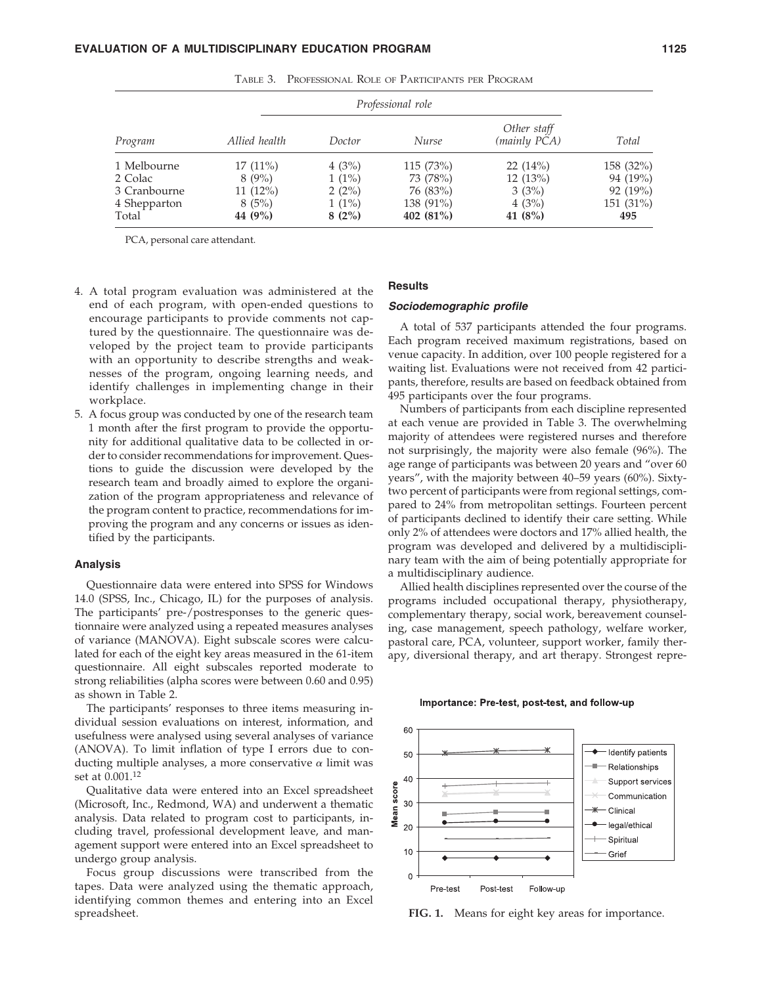|              | Professional role |          |              |                             |             |  |
|--------------|-------------------|----------|--------------|-----------------------------|-------------|--|
| Program      | Allied health     | Doctor   | <b>Nurse</b> | Other staff<br>(mainly PCA) | Total       |  |
| 1 Melbourne  | $17(11\%)$        | 4(3%)    | 115 (73%)    | 22(14%)                     | 158 (32%)   |  |
| 2 Colac      | $8(9\%)$          | $1(1\%)$ | 73 (78%)     | 12(13%)                     | 94 (19%)    |  |
| 3 Cranbourne | $11(12\%)$        | 2(2%)    | 76 (83%)     | 3(3%)                       | 92(19%)     |  |
| 4 Shepparton | 8(5%)             | $1(1\%)$ | 138 (91%)    | 4(3%)                       | $151(31\%)$ |  |
| Total        | 44 (9%)           | 8(2%)    | 402 $(81\%)$ | 41 $(8%)$                   | 495         |  |

TABLE 3. PROFESSIONAL ROLE OF PARTICIPANTS PER PROGRAM

PCA, personal care attendant.

- 4. A total program evaluation was administered at the end of each program, with open-ended questions to encourage participants to provide comments not captured by the questionnaire. The questionnaire was developed by the project team to provide participants with an opportunity to describe strengths and weaknesses of the program, ongoing learning needs, and identify challenges in implementing change in their workplace.
- 5. A focus group was conducted by one of the research team 1 month after the first program to provide the opportunity for additional qualitative data to be collected in order to consider recommendations for improvement. Questions to guide the discussion were developed by the research team and broadly aimed to explore the organization of the program appropriateness and relevance of the program content to practice, recommendations for improving the program and any concerns or issues as identified by the participants.

#### **Analysis**

Questionnaire data were entered into SPSS for Windows 14.0 (SPSS, Inc., Chicago, IL) for the purposes of analysis. The participants' pre-/postresponses to the generic questionnaire were analyzed using a repeated measures analyses of variance (MANOVA). Eight subscale scores were calculated for each of the eight key areas measured in the 61-item questionnaire. All eight subscales reported moderate to strong reliabilities (alpha scores were between 0.60 and 0.95) as shown in Table 2.

The participants' responses to three items measuring individual session evaluations on interest, information, and usefulness were analysed using several analyses of variance (ANOVA). To limit inflation of type I errors due to conducting multiple analyses, a more conservative  $\alpha$  limit was set at 0.001.12

Qualitative data were entered into an Excel spreadsheet (Microsoft, Inc., Redmond, WA) and underwent a thematic analysis. Data related to program cost to participants, including travel, professional development leave, and management support were entered into an Excel spreadsheet to undergo group analysis.

Focus group discussions were transcribed from the tapes. Data were analyzed using the thematic approach, identifying common themes and entering into an Excel spreadsheet.

# **Results**

# *Sociodemographic profile*

A total of 537 participants attended the four programs. Each program received maximum registrations, based on venue capacity. In addition, over 100 people registered for a waiting list. Evaluations were not received from 42 participants, therefore, results are based on feedback obtained from 495 participants over the four programs.

Numbers of participants from each discipline represented at each venue are provided in Table 3. The overwhelming majority of attendees were registered nurses and therefore not surprisingly, the majority were also female (96%). The age range of participants was between 20 years and "over 60 years", with the majority between 40–59 years (60%). Sixtytwo percent of participants were from regional settings, compared to 24% from metropolitan settings. Fourteen percent of participants declined to identify their care setting. While only 2% of attendees were doctors and 17% allied health, the program was developed and delivered by a multidisciplinary team with the aim of being potentially appropriate for a multidisciplinary audience.

Allied health disciplines represented over the course of the programs included occupational therapy, physiotherapy, complementary therapy, social work, bereavement counseling, case management, speech pathology, welfare worker, pastoral care, PCA, volunteer, support worker, family therapy, diversional therapy, and art therapy. Strongest repre-





**FIG. 1.** Means for eight key areas for importance.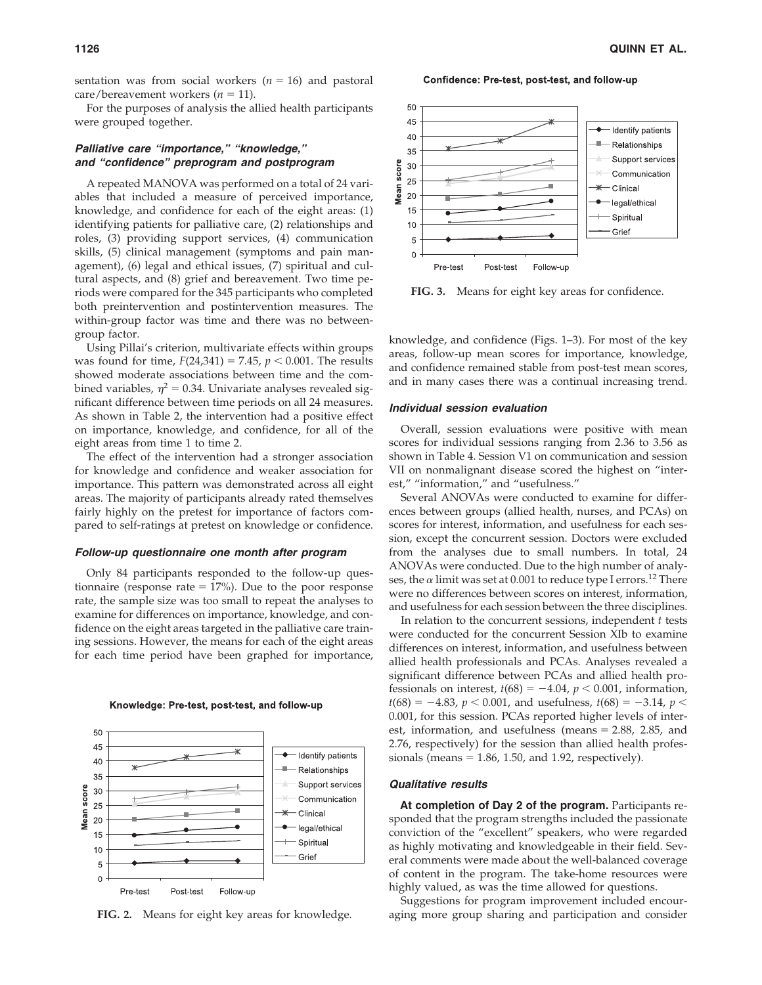sentation was from social workers  $(n = 16)$  and pastoral  $care/bereavement workers (n = 11).$ 

For the purposes of analysis the allied health participants were grouped together.

# *Palliative care "importance," "knowledge," and "confidence" preprogram and postprogram*

A repeated MANOVA was performed on a total of 24 variables that included a measure of perceived importance, knowledge, and confidence for each of the eight areas: (1) identifying patients for palliative care, (2) relationships and roles, (3) providing support services, (4) communication skills, (5) clinical management (symptoms and pain management), (6) legal and ethical issues, (7) spiritual and cultural aspects, and (8) grief and bereavement. Two time periods were compared for the 345 participants who completed both preintervention and postintervention measures. The within-group factor was time and there was no betweengroup factor.

Using Pillai's criterion, multivariate effects within groups was found for time,  $F(24,341) = 7.45$ ,  $p < 0.001$ . The results showed moderate associations between time and the combined variables,  $\eta^2 = 0.34$ . Univariate analyses revealed significant difference between time periods on all 24 measures. As shown in Table 2, the intervention had a positive effect on importance, knowledge, and confidence, for all of the eight areas from time 1 to time 2.

The effect of the intervention had a stronger association for knowledge and confidence and weaker association for importance. This pattern was demonstrated across all eight areas. The majority of participants already rated themselves fairly highly on the pretest for importance of factors compared to self-ratings at pretest on knowledge or confidence.

#### *Follow-up questionnaire one month after program*

Only 84 participants responded to the follow-up questionnaire (response rate  $= 17\%$ ). Due to the poor response rate, the sample size was too small to repeat the analyses to examine for differences on importance, knowledge, and confidence on the eight areas targeted in the palliative care training sessions. However, the means for each of the eight areas for each time period have been graphed for importance,



Knowledge: Pre-test, post-test, and follow-up

**FIG. 2.** Means for eight key areas for knowledge.





**FIG. 3.** Means for eight key areas for confidence.

knowledge, and confidence (Figs. 1–3). For most of the key areas, follow-up mean scores for importance, knowledge, and confidence remained stable from post-test mean scores, and in many cases there was a continual increasing trend.

# *Individual session evaluation*

Overall, session evaluations were positive with mean scores for individual sessions ranging from 2.36 to 3.56 as shown in Table 4. Session V1 on communication and session VII on nonmalignant disease scored the highest on "interest," "information," and "usefulness."

Several ANOVAs were conducted to examine for differences between groups (allied health, nurses, and PCAs) on scores for interest, information, and usefulness for each session, except the concurrent session. Doctors were excluded from the analyses due to small numbers. In total, 24 ANOVAs were conducted. Due to the high number of analyses, the  $\alpha$  limit was set at 0.001 to reduce type I errors.<sup>12</sup> There were no differences between scores on interest, information, and usefulness for each session between the three disciplines.

In relation to the concurrent sessions, independent *t* tests were conducted for the concurrent Session XIb to examine differences on interest, information, and usefulness between allied health professionals and PCAs. Analyses revealed a significant difference between PCAs and allied health professionals on interest,  $t(68) = -4.04$ ,  $p < 0.001$ , information,  $t(68) = -4.83$ ,  $p < 0.001$ , and usefulness,  $t(68) = -3.14$ ,  $p <$ 0.001, for this session. PCAs reported higher levels of interest, information, and usefulness (means  $= 2.88$ , 2.85, and 2.76, respectively) for the session than allied health professionals (means  $= 1.86$ , 1.50, and 1.92, respectively).

#### *Qualitative results*

**At completion of Day 2 of the program.** Participants responded that the program strengths included the passionate conviction of the "excellent" speakers, who were regarded as highly motivating and knowledgeable in their field. Several comments were made about the well-balanced coverage of content in the program. The take-home resources were highly valued, as was the time allowed for questions.

Suggestions for program improvement included encouraging more group sharing and participation and consider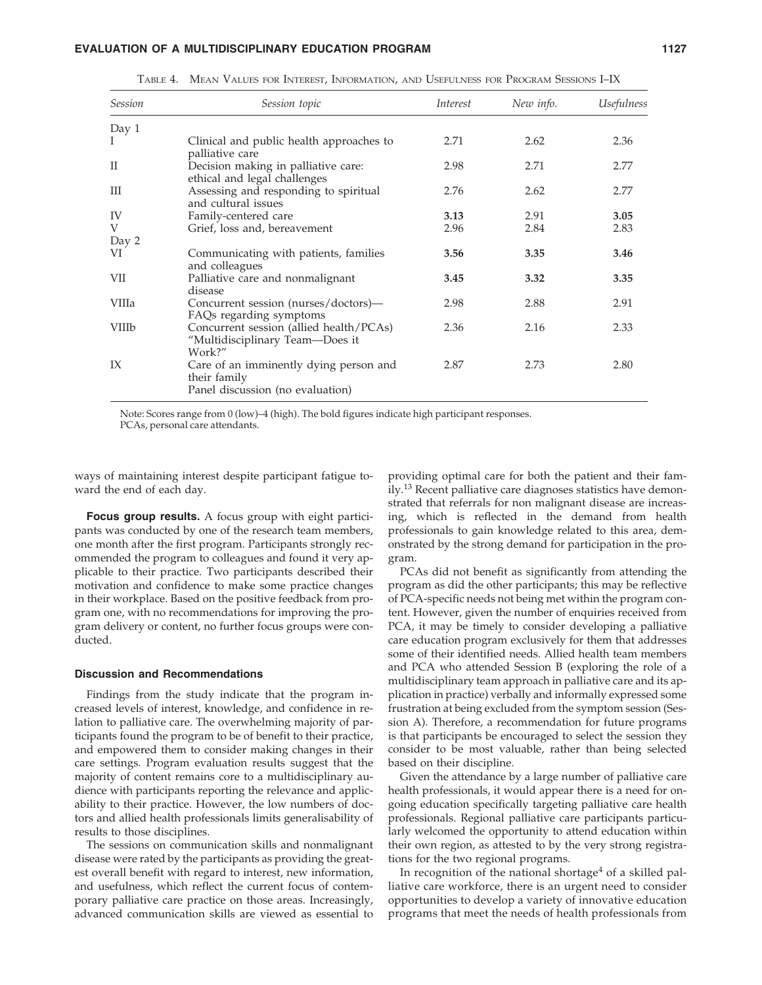| <b>Session</b> | Session topic                                                                              | Interest | New info. | <i><u><b>Usefulness</b></u></i> |
|----------------|--------------------------------------------------------------------------------------------|----------|-----------|---------------------------------|
| Day 1          |                                                                                            |          |           |                                 |
| I              | Clinical and public health approaches to<br>palliative care                                | 2.71     | 2.62      | 2.36                            |
| $\rm II$       | Decision making in palliative care:<br>ethical and legal challenges                        | 2.98     | 2.71      | 2.77                            |
| Ш              | Assessing and responding to spiritual<br>and cultural issues                               | 2.76     | 2.62      | 2.77                            |
| IV             | Family-centered care                                                                       | 3.13     | 2.91      | 3.05                            |
| V              | Grief, loss and, bereavement                                                               | 2.96     | 2.84      | 2.83                            |
| Day 2          |                                                                                            |          |           |                                 |
| VI             | Communicating with patients, families<br>and colleagues                                    | 3.56     | 3.35      | 3.46                            |
| VII            | Palliative care and nonmalignant<br>disease                                                | 3.45     | 3.32      | 3.35                            |
| <b>VIIIa</b>   | Concurrent session (nurses/doctors)—<br>FAQs regarding symptoms                            | 2.98     | 2.88      | 2.91                            |
| <b>VIIIb</b>   | Concurrent session (allied health/PCAs)<br>"Multidisciplinary Team-Does it<br>Work?"       | 2.36     | 2.16      | 2.33                            |
| IX             | Care of an imminently dying person and<br>their family<br>Panel discussion (no evaluation) | 2.87     | 2.73      | 2.80                            |

TABLE 4. MEAN VALUES FOR INTEREST, INFORMATION, AND USEFULNESS FOR PROGRAM SESSIONS I–IX

Note: Scores range from 0 (low)–4 (high). The bold figures indicate high participant responses. PCAs, personal care attendants.

ways of maintaining interest despite participant fatigue toward the end of each day.

**Focus group results.** A focus group with eight participants was conducted by one of the research team members, one month after the first program. Participants strongly recommended the program to colleagues and found it very applicable to their practice. Two participants described their motivation and confidence to make some practice changes in their workplace. Based on the positive feedback from program one, with no recommendations for improving the program delivery or content, no further focus groups were conducted.

#### **Discussion and Recommendations**

Findings from the study indicate that the program increased levels of interest, knowledge, and confidence in relation to palliative care. The overwhelming majority of participants found the program to be of benefit to their practice, and empowered them to consider making changes in their care settings. Program evaluation results suggest that the majority of content remains core to a multidisciplinary audience with participants reporting the relevance and applicability to their practice. However, the low numbers of doctors and allied health professionals limits generalisability of results to those disciplines.

The sessions on communication skills and nonmalignant disease were rated by the participants as providing the greatest overall benefit with regard to interest, new information, and usefulness, which reflect the current focus of contemporary palliative care practice on those areas. Increasingly, advanced communication skills are viewed as essential to

providing optimal care for both the patient and their family.<sup>13</sup> Recent palliative care diagnoses statistics have demonstrated that referrals for non malignant disease are increasing, which is reflected in the demand from health professionals to gain knowledge related to this area, demonstrated by the strong demand for participation in the program.

PCAs did not benefit as significantly from attending the program as did the other participants; this may be reflective of PCA-specific needs not being met within the program content. However, given the number of enquiries received from PCA, it may be timely to consider developing a palliative care education program exclusively for them that addresses some of their identified needs. Allied health team members and PCA who attended Session B (exploring the role of a multidisciplinary team approach in palliative care and its application in practice) verbally and informally expressed some frustration at being excluded from the symptom session (Session A). Therefore, a recommendation for future programs is that participants be encouraged to select the session they consider to be most valuable, rather than being selected based on their discipline.

Given the attendance by a large number of palliative care health professionals, it would appear there is a need for ongoing education specifically targeting palliative care health professionals. Regional palliative care participants particularly welcomed the opportunity to attend education within their own region, as attested to by the very strong registrations for the two regional programs.

In recognition of the national shortage<sup>4</sup> of a skilled palliative care workforce, there is an urgent need to consider opportunities to develop a variety of innovative education programs that meet the needs of health professionals from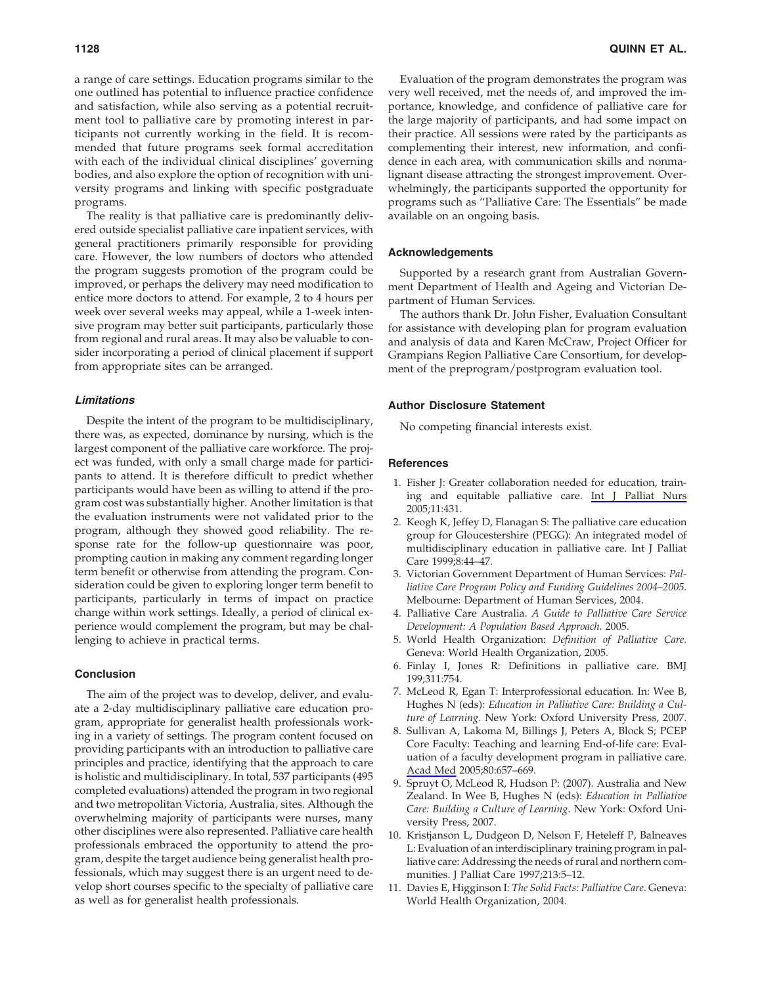a range of care settings. Education programs similar to the one outlined has potential to influence practice confidence and satisfaction, while also serving as a potential recruitment tool to palliative care by promoting interest in participants not currently working in the field. It is recommended that future programs seek formal accreditation with each of the individual clinical disciplines' governing bodies, and also explore the option of recognition with university programs and linking with specific postgraduate programs.

The reality is that palliative care is predominantly delivered outside specialist palliative care inpatient services, with general practitioners primarily responsible for providing care. However, the low numbers of doctors who attended the program suggests promotion of the program could be improved, or perhaps the delivery may need modification to entice more doctors to attend. For example, 2 to 4 hours per week over several weeks may appeal, while a 1-week intensive program may better suit participants, particularly those from regional and rural areas. It may also be valuable to consider incorporating a period of clinical placement if support from appropriate sites can be arranged.

#### *Limitations*

Despite the intent of the program to be multidisciplinary, there was, as expected, dominance by nursing, which is the largest component of the palliative care workforce. The project was funded, with only a small charge made for participants to attend. It is therefore difficult to predict whether participants would have been as willing to attend if the program cost was substantially higher. Another limitation is that the evaluation instruments were not validated prior to the program, although they showed good reliability. The response rate for the follow-up questionnaire was poor, prompting caution in making any comment regarding longer term benefit or otherwise from attending the program. Consideration could be given to exploring longer term benefit to participants, particularly in terms of impact on practice change within work settings. Ideally, a period of clinical experience would complement the program, but may be challenging to achieve in practical terms.

# **Conclusion**

The aim of the project was to develop, deliver, and evaluate a 2-day multidisciplinary palliative care education program, appropriate for generalist health professionals working in a variety of settings. The program content focused on providing participants with an introduction to palliative care principles and practice, identifying that the approach to care is holistic and multidisciplinary. In total, 537 participants (495 completed evaluations) attended the program in two regional and two metropolitan Victoria, Australia, sites. Although the overwhelming majority of participants were nurses, many other disciplines were also represented. Palliative care health professionals embraced the opportunity to attend the program, despite the target audience being generalist health professionals, which may suggest there is an urgent need to develop short courses specific to the specialty of palliative care as well as for generalist health professionals.

Evaluation of the program demonstrates the program was very well received, met the needs of, and improved the importance, knowledge, and confidence of palliative care for the large majority of participants, and had some impact on their practice. All sessions were rated by the participants as complementing their interest, new information, and confidence in each area, with communication skills and nonmalignant disease attracting the strongest improvement. Overwhelmingly, the participants supported the opportunity for programs such as "Palliative Care: The Essentials" be made available on an ongoing basis.

### **Acknowledgements**

Supported by a research grant from Australian Government Department of Health and Ageing and Victorian Department of Human Services.

The authors thank Dr. John Fisher, Evaluation Consultant for assistance with developing plan for program evaluation and analysis of data and Karen McCraw, Project Officer for Grampians Region Palliative Care Consortium, for development of the preprogram/postprogram evaluation tool.

#### **Author Disclosure Statement**

No competing financial interests exist.

### **References**

- 1. Fisher J: Greater collaboration needed for education, training and equitable palliative care. Int J Palliat Nurs 2005;11:431.
- 2. Keogh K, Jeffey D, Flanagan S: The palliative care education group for Gloucestershire (PEGG): An integrated model of multidisciplinary education in palliative care. Int J Palliat Care 1999;8:44–47.
- 3. Victorian Government Department of Human Services: *Palliative Care Program Policy and Funding Guidelines 2004–2005*. Melbourne: Department of Human Services, 2004.
- 4. Palliative Care Australia. *A Guide to Palliative Care Service Development: A Population Based Approach*. 2005.
- 5. World Health Organization: *Definition of Palliative Care*. Geneva: World Health Organization, 2005.
- 6. Finlay I, Jones R: Definitions in palliative care. BMJ 199;311:754.
- 7. McLeod R, Egan T: Interprofessional education. In: Wee B, Hughes N (eds): *Education in Palliative Care: Building a Culture of Learning*. New York: Oxford University Press, 2007.
- 8. Sullivan A, Lakoma M, Billings J, Peters A, Block S; PCEP Core Faculty: Teaching and learning End-of-life care: Evaluation of a faculty development program in palliative care. Acad Med 2005;80:657–669.
- 9. Spruyt O, McLeod R, Hudson P: (2007). Australia and New Zealand. In Wee B, Hughes N (eds): *Education in Palliative Care: Building a Culture of Learning*. New York: Oxford University Press, 2007.
- 10. Kristjanson L, Dudgeon D, Nelson F, Heteleff P, Balneaves L: Evaluation of an interdisciplinary training program in palliative care: Addressing the needs of rural and northern communities. J Palliat Care 1997;213:5–12.
- 11. Davies E, Higginson I: *The Solid Facts: Palliative Care*. Geneva: World Health Organization, 2004.